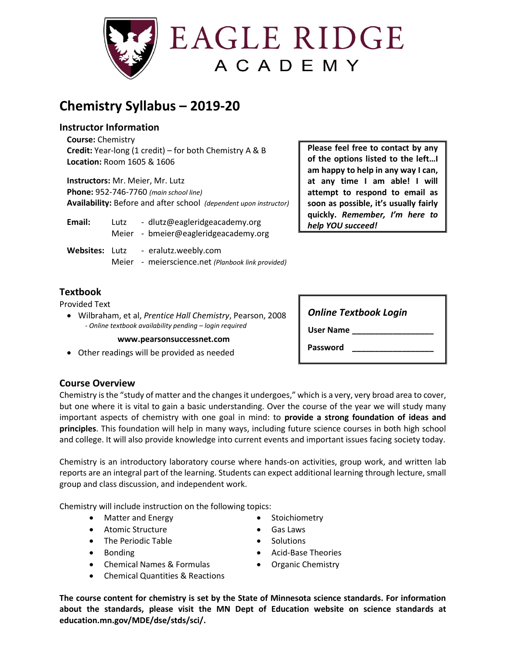

# **Chemistry Syllabus – 2019-20**

#### **Instructor Information**

**Course:** Chemistry **Credit:** Year-long (1 credit) – for both Chemistry A & B **Location:** Room 1605 & 1606

**Instructors:** Mr. Meier, Mr. Lutz **Phone:** 952-746-7760 *(main school line)* **Availability:** Before and after school *(dependent upon instructor)*

| Email:                | Lutz | - dlutz@eagleridgeacademy.org<br>Meier - bmeier@eagleridgeacademy.org |
|-----------------------|------|-----------------------------------------------------------------------|
| <b>Websites: Lutz</b> |      | - eralutz.weebly.com                                                  |

Meier - meierscience.net *(Planbook link provided)*

### **Textbook**

Provided Text

• Wilbraham, et al, *Prentice Hall Chemistry*, Pearson, 2008  *- Online textbook availability pending – login required*

#### **www.pearsonsuccessnet.com**

• Other readings will be provided as needed

| Please feel free to contact by any    |  |  |  |  |  |
|---------------------------------------|--|--|--|--|--|
| of the options listed to the left!    |  |  |  |  |  |
| am happy to help in any way I can,    |  |  |  |  |  |
| at any time I am able! I will         |  |  |  |  |  |
| attempt to respond to email as        |  |  |  |  |  |
| soon as possible, it's usually fairly |  |  |  |  |  |
| quickly. Remember, I'm here to        |  |  |  |  |  |
| help YOU succeed!                     |  |  |  |  |  |

| <b>Online Textbook Login</b> |  |  |
|------------------------------|--|--|
| <b>User Name</b>             |  |  |
| Password                     |  |  |

#### **Course Overview**

Chemistry is the "study of matter and the changes it undergoes," which is a very, very broad area to cover, but one where it is vital to gain a basic understanding. Over the course of the year we will study many important aspects of chemistry with one goal in mind: to **provide a strong foundation of ideas and principles**. This foundation will help in many ways, including future science courses in both high school and college. It will also provide knowledge into current events and important issues facing society today.

Chemistry is an introductory laboratory course where hands-on activities, group work, and written lab reports are an integral part of the learning. Students can expect additional learning through lecture, small group and class discussion, and independent work.

Chemistry will include instruction on the following topics:

- Matter and Energy
- Atomic Structure
- The Periodic Table
- Bonding
- Chemical Names & Formulas
- Chemical Quantities & Reactions
- Stoichiometry
- Gas Laws
- **Solutions**
- Acid-Base Theories • Organic Chemistry

**The course content for chemistry is set by the State of Minnesota science standards. For information about the standards, please visit the MN Dept of Education website on science standards at education.mn.gov/MDE/dse/stds/sci/.**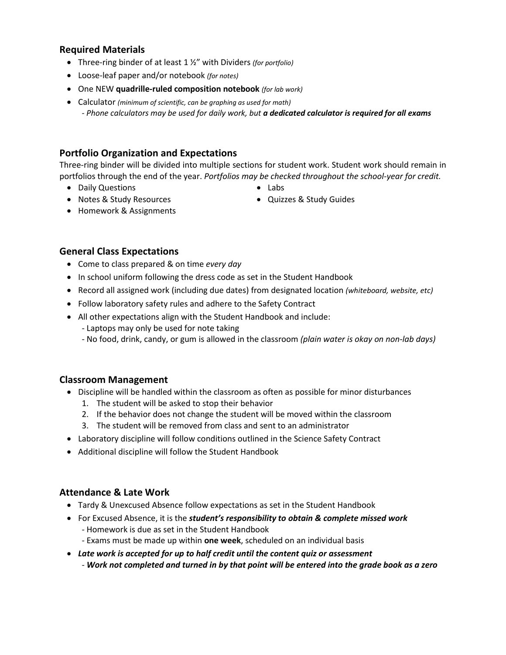#### **Required Materials**

- Three-ring binder of at least 1 ½" with Dividers *(for portfolio)*
- Loose-leaf paper and/or notebook *(for notes)*
- One NEW **quadrille-ruled composition notebook** *(for lab work)*
- Calculator *(minimum of scientific, can be graphing as used for math)* - *Phone calculators may be used for daily work, but a dedicated calculator is required for all exams*

# **Portfolio Organization and Expectations**

Three-ring binder will be divided into multiple sections for student work. Student work should remain in portfolios through the end of the year. *Portfolios may be checked throughout the school-year for credit.*

• Daily Questions

• Labs

• Notes & Study Resources

• Quizzes & Study Guides

• Homework & Assignments

# **General Class Expectations**

- Come to class prepared & on time *every day*
- In school uniform following the dress code as set in the Student Handbook
- Record all assigned work (including due dates) from designated location *(whiteboard, website, etc)*
- Follow laboratory safety rules and adhere to the Safety Contract
- All other expectations align with the Student Handbook and include:
	- Laptops may only be used for note taking
	- No food, drink, candy, or gum is allowed in the classroom *(plain water is okay on non-lab days)*

#### **Classroom Management**

- Discipline will be handled within the classroom as often as possible for minor disturbances
	- 1. The student will be asked to stop their behavior
	- 2. If the behavior does not change the student will be moved within the classroom
	- 3. The student will be removed from class and sent to an administrator
- Laboratory discipline will follow conditions outlined in the Science Safety Contract
- Additional discipline will follow the Student Handbook

#### **Attendance & Late Work**

- Tardy & Unexcused Absence follow expectations as set in the Student Handbook
- For Excused Absence, it is the *student's responsibility to obtain & complete missed work* - Homework is due as set in the Student Handbook
	- Exams must be made up within **one week**, scheduled on an individual basis
- *Late work is accepted for up to half credit until the content quiz or assessment* - *Work not completed and turned in by that point will be entered into the grade book as a zero*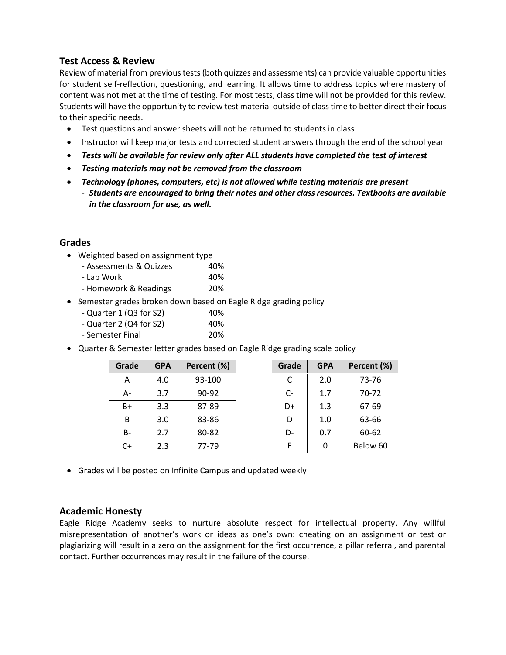#### **Test Access & Review**

Review of material from previous tests (both quizzes and assessments) can provide valuable opportunities for student self-reflection, questioning, and learning. It allows time to address topics where mastery of content was not met at the time of testing. For most tests, class time will not be provided for this review. Students will have the opportunity to review test material outside of class time to better direct their focus to their specific needs.

- Test questions and answer sheets will not be returned to students in class
- Instructor will keep major tests and corrected student answers through the end of the school year
- *Tests will be available for review only after ALL students have completed the test of interest*
- *Testing materials may not be removed from the classroom*
- *Technology (phones, computers, etc) is not allowed while testing materials are present* - *Students are encouraged to bring their notes and other class resources. Textbooks are available in the classroom for use, as well.*

#### **Grades**

- Weighted based on assignment type
	- Assessments & Quizzes 40% - Lab Work 40% - Homework & Readings 20%
- Semester grades broken down based on Eagle Ridge grading policy
	- $-$  Quarter 1 (Q3 for S2) 40%  $-$  Quarter 2 (Q4 for S2) 40%
	- Semester Final 20%
- Quarter & Semester letter grades based on Eagle Ridge grading scale policy

| Grade | <b>GPA</b> | Percent (%) |  |
|-------|------------|-------------|--|
| Α     | 4.0        | 93-100      |  |
| А-    | 3.7        | $90-92$     |  |
| B+    | 3.3        | 87-89       |  |
| B     | 3.0        | 83-86       |  |
| в-    | 2.7        | 80-82       |  |
| C+    | 2.3        | 77-79       |  |

| Grade | <b>GPA</b> | Percent (%) |  |
|-------|------------|-------------|--|
| C     | 2.0        | 73-76       |  |
| C-    | 1.7        | 70-72       |  |
| D+    | 1.3        | 67-69       |  |
| D     | 1.0        | 63-66       |  |
| D-    | 0.7        | 60-62       |  |
| F     | n          | Below 60    |  |

• Grades will be posted on Infinite Campus and updated weekly

#### **Academic Honesty**

Eagle Ridge Academy seeks to nurture absolute respect for intellectual property. Any willful misrepresentation of another's work or ideas as one's own: cheating on an assignment or test or plagiarizing will result in a zero on the assignment for the first occurrence, a pillar referral, and parental contact. Further occurrences may result in the failure of the course.